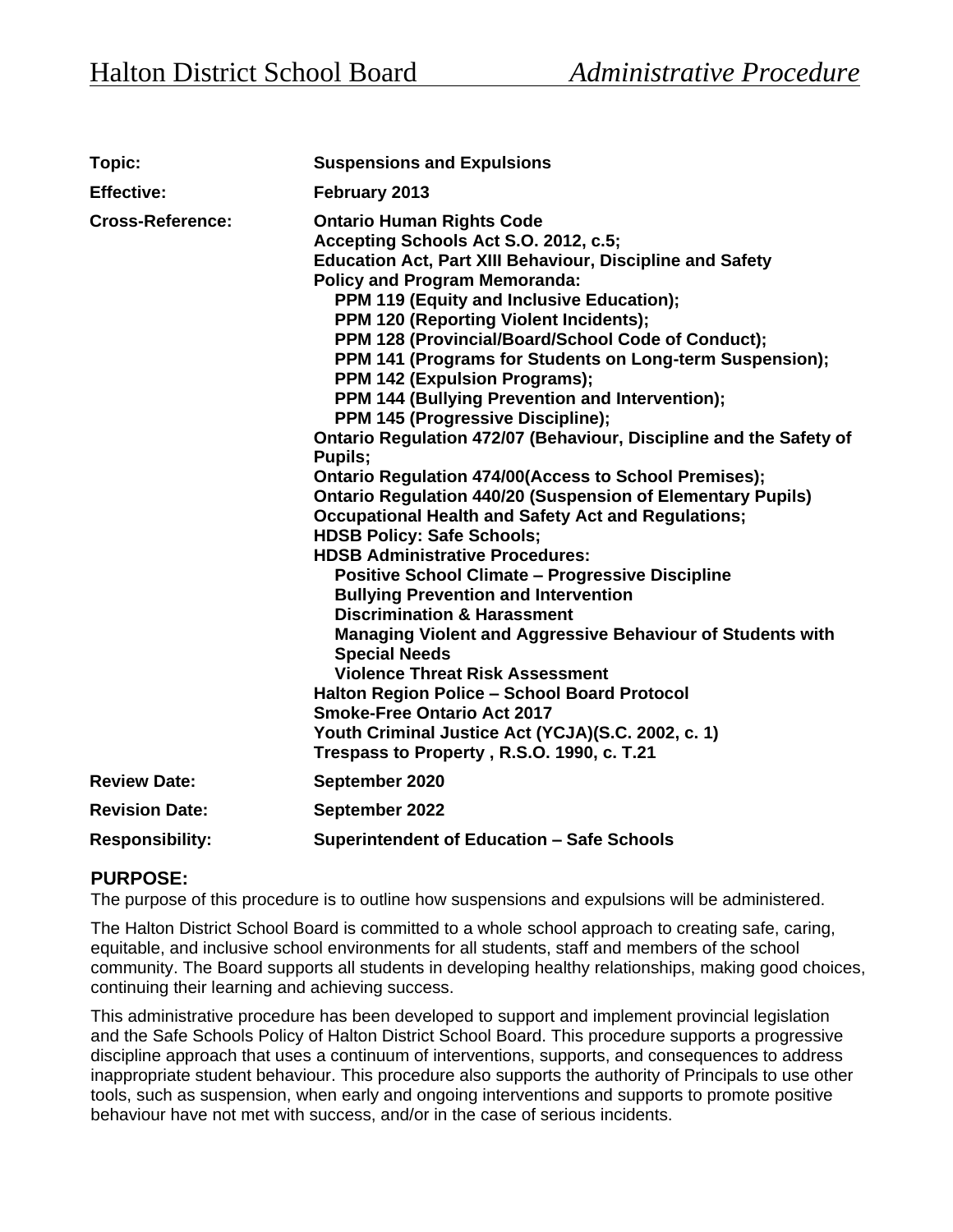| Topic:                  | <b>Suspensions and Expulsions</b>                                                                                                                                                                                                                                                                                                                                                                                                                                                                                                                                                                                                                                                                                                                                                                                                                                                                                                                                                                                                                                                                                                                                                                                                                                                                                                                                                       |  |  |
|-------------------------|-----------------------------------------------------------------------------------------------------------------------------------------------------------------------------------------------------------------------------------------------------------------------------------------------------------------------------------------------------------------------------------------------------------------------------------------------------------------------------------------------------------------------------------------------------------------------------------------------------------------------------------------------------------------------------------------------------------------------------------------------------------------------------------------------------------------------------------------------------------------------------------------------------------------------------------------------------------------------------------------------------------------------------------------------------------------------------------------------------------------------------------------------------------------------------------------------------------------------------------------------------------------------------------------------------------------------------------------------------------------------------------------|--|--|
| <b>Effective:</b>       | February 2013                                                                                                                                                                                                                                                                                                                                                                                                                                                                                                                                                                                                                                                                                                                                                                                                                                                                                                                                                                                                                                                                                                                                                                                                                                                                                                                                                                           |  |  |
| <b>Cross-Reference:</b> | <b>Ontario Human Rights Code</b><br>Accepting Schools Act S.O. 2012, c.5;<br><b>Education Act, Part XIII Behaviour, Discipline and Safety</b><br><b>Policy and Program Memoranda:</b><br>PPM 119 (Equity and Inclusive Education);<br><b>PPM 120 (Reporting Violent Incidents);</b><br>PPM 128 (Provincial/Board/School Code of Conduct);<br>PPM 141 (Programs for Students on Long-term Suspension);<br>PPM 142 (Expulsion Programs);<br>PPM 144 (Bullying Prevention and Intervention);<br>PPM 145 (Progressive Discipline);<br>Ontario Regulation 472/07 (Behaviour, Discipline and the Safety of<br>Pupils;<br><b>Ontario Regulation 474/00(Access to School Premises);</b><br><b>Ontario Regulation 440/20 (Suspension of Elementary Pupils)</b><br><b>Occupational Health and Safety Act and Regulations;</b><br><b>HDSB Policy: Safe Schools;</b><br><b>HDSB Administrative Procedures:</b><br><b>Positive School Climate - Progressive Discipline</b><br><b>Bullying Prevention and Intervention</b><br><b>Discrimination &amp; Harassment</b><br>Managing Violent and Aggressive Behaviour of Students with<br><b>Special Needs</b><br><b>Violence Threat Risk Assessment</b><br><b>Halton Region Police - School Board Protocol</b><br><b>Smoke-Free Ontario Act 2017</b><br>Youth Criminal Justice Act (YCJA)(S.C. 2002, c. 1)<br>Trespass to Property, R.S.O. 1990, c. T.21 |  |  |
| <b>Review Date:</b>     | September 2020                                                                                                                                                                                                                                                                                                                                                                                                                                                                                                                                                                                                                                                                                                                                                                                                                                                                                                                                                                                                                                                                                                                                                                                                                                                                                                                                                                          |  |  |
| <b>Revision Date:</b>   | September 2022                                                                                                                                                                                                                                                                                                                                                                                                                                                                                                                                                                                                                                                                                                                                                                                                                                                                                                                                                                                                                                                                                                                                                                                                                                                                                                                                                                          |  |  |
| <b>Responsibility:</b>  | <b>Superintendent of Education - Safe Schools</b>                                                                                                                                                                                                                                                                                                                                                                                                                                                                                                                                                                                                                                                                                                                                                                                                                                                                                                                                                                                                                                                                                                                                                                                                                                                                                                                                       |  |  |

# **PURPOSE:**

The purpose of this procedure is to outline how suspensions and expulsions will be administered.

The Halton District School Board is committed to a whole school approach to creating safe, caring, equitable, and inclusive school environments for all students, staff and members of the school community. The Board supports all students in developing healthy relationships, making good choices, continuing their learning and achieving success.

This administrative procedure has been developed to support and implement provincial legislation and the Safe Schools Policy of Halton District School Board. This procedure supports a progressive discipline approach that uses a continuum of interventions, supports, and consequences to address inappropriate student behaviour. This procedure also supports the authority of Principals to use other tools, such as suspension, when early and ongoing interventions and supports to promote positive behaviour have not met with success, and/or in the case of serious incidents.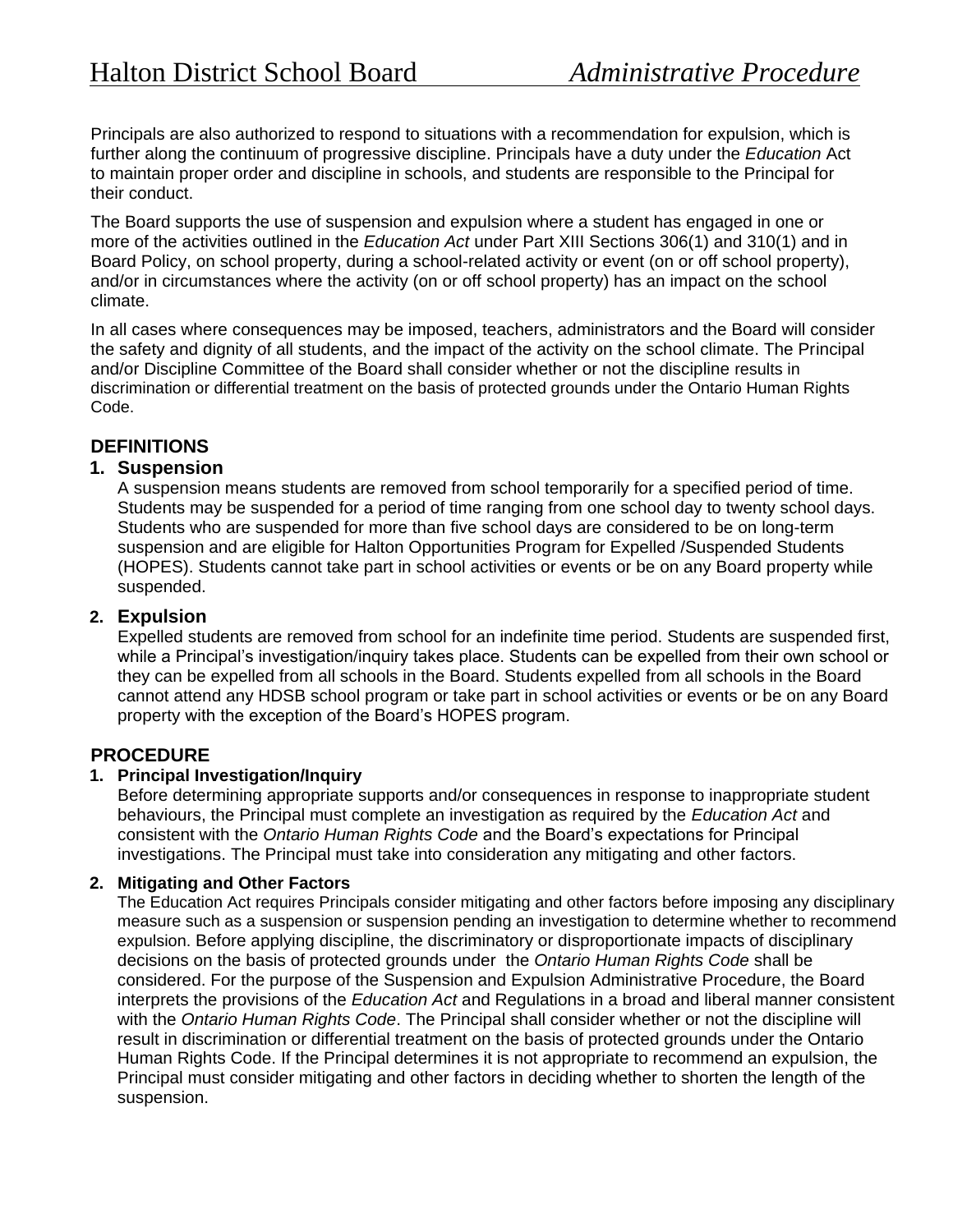Principals are also authorized to respond to situations with a recommendation for expulsion, which is further along the continuum of progressive discipline. Principals have a duty under the *Education* Act to maintain proper order and discipline in schools, and students are responsible to the Principal for their conduct.

The Board supports the use of suspension and expulsion where a student has engaged in one or more of the activities outlined in the *Education Act* under Part XIII Sections 306(1) and 310(1) and in Board Policy, on school property, during a school-related activity or event (on or off school property), and/or in circumstances where the activity (on or off school property) has an impact on the school climate.

In all cases where consequences may be imposed, teachers, administrators and the Board will consider the safety and dignity of all students, and the impact of the activity on the school climate. The Principal and/or Discipline Committee of the Board shall consider whether or not the discipline results in discrimination or differential treatment on the basis of protected grounds under the Ontario Human Rights Code.

# **DEFINITIONS**

## **1. Suspension**

A suspension means students are removed from school temporarily for a specified period of time. Students may be suspended for a period of time ranging from one school day to twenty school days. Students who are suspended for more than five school days are considered to be on long-term suspension and are eligible for Halton Opportunities Program for Expelled /Suspended Students (HOPES). Students cannot take part in school activities or events or be on any Board property while suspended.

## **2. Expulsion**

Expelled students are removed from school for an indefinite time period. Students are suspended first, while a Principal's investigation/inquiry takes place. Students can be expelled from their own school or they can be expelled from all schools in the Board. Students expelled from all schools in the Board cannot attend any HDSB school program or take part in school activities or events or be on any Board property with the exception of the Board's HOPES program.

## **PROCEDURE**

### **1. Principal Investigation/Inquiry**

Before determining appropriate supports and/or consequences in response to inappropriate student behaviours, the Principal must complete an investigation as required by the *Education Act* and consistent with the *Ontario Human Rights Code* and the Board's expectations for Principal investigations. The Principal must take into consideration any mitigating and other factors.

### **2. Mitigating and Other Factors**

The Education Act requires Principals consider mitigating and other factors before imposing any disciplinary measure such as a suspension or suspension pending an investigation to determine whether to recommend expulsion. Before applying discipline, the discriminatory or disproportionate impacts of disciplinary decisions on the basis of protected grounds under the *Ontario Human Rights Code* shall be considered. For the purpose of the Suspension and Expulsion Administrative Procedure, the Board interprets the provisions of the *Education Act* and Regulations in a broad and liberal manner consistent with the *Ontario Human Rights Code*. The Principal shall consider whether or not the discipline will result in discrimination or differential treatment on the basis of protected grounds under the Ontario Human Rights Code. If the Principal determines it is not appropriate to recommend an expulsion, the Principal must consider mitigating and other factors in deciding whether to shorten the length of the suspension.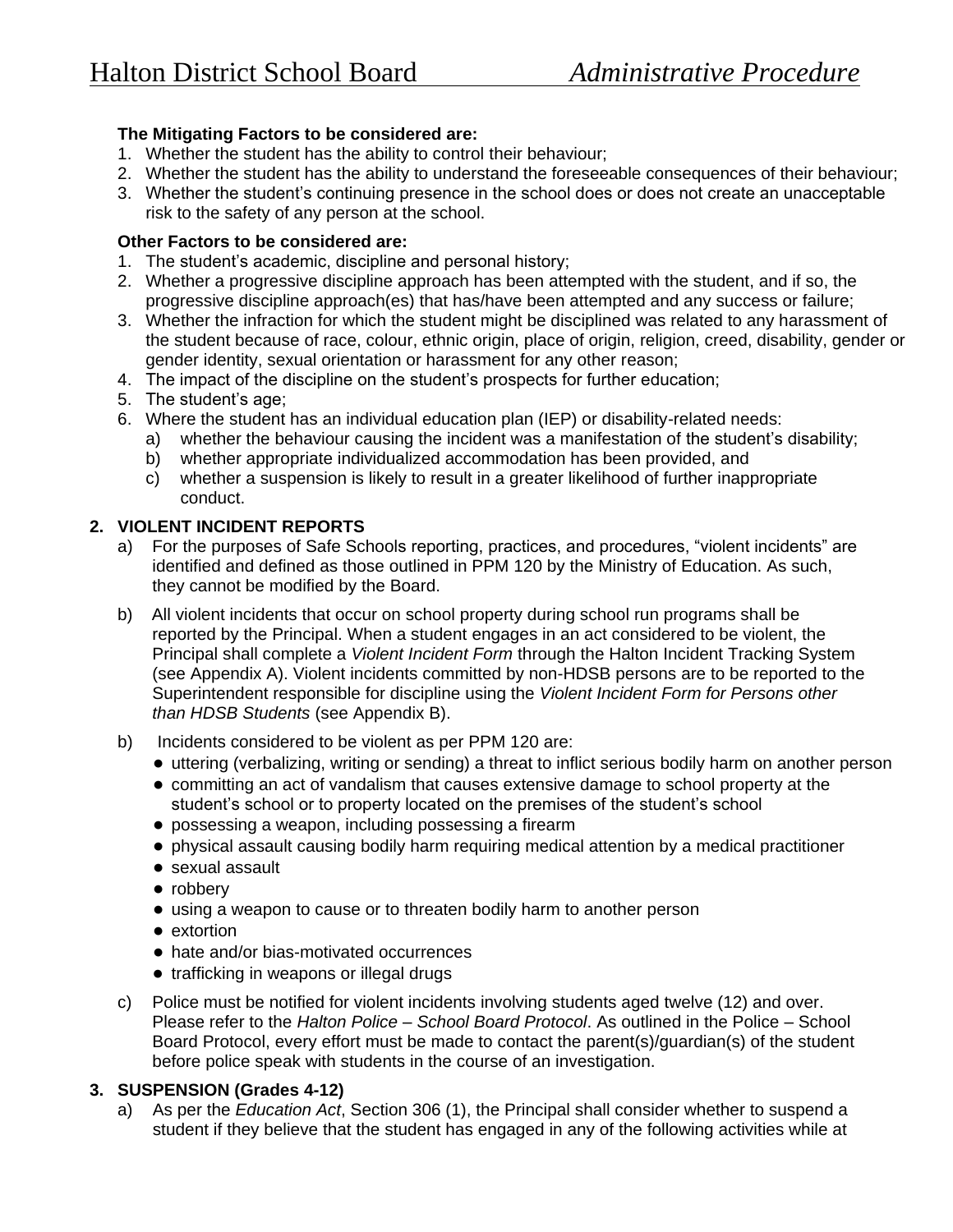## **The Mitigating Factors to be considered are:**

- 1. Whether the student has the ability to control their behaviour;
- 2. Whether the student has the ability to understand the foreseeable consequences of their behaviour;
- 3. Whether the student's continuing presence in the school does or does not create an unacceptable risk to the safety of any person at the school.

## **Other Factors to be considered are:**

- 1. The student's academic, discipline and personal history;
- 2. Whether a progressive discipline approach has been attempted with the student, and if so, the progressive discipline approach(es) that has/have been attempted and any success or failure;
- 3. Whether the infraction for which the student might be disciplined was related to any harassment of the student because of race, colour, ethnic origin, place of origin, religion, creed, disability, gender or gender identity, sexual orientation or harassment for any other reason;
- 4. The impact of the discipline on the student's prospects for further education;
- 5. The student's age;
- 6. Where the student has an individual education plan (IEP) or disability-related needs:
	- a) whether the behaviour causing the incident was a manifestation of the student's disability;
	- b) whether appropriate individualized accommodation has been provided, and
	- c) whether a suspension is likely to result in a greater likelihood of further inappropriate conduct.

## **2. VIOLENT INCIDENT REPORTS**

- a) For the purposes of Safe Schools reporting, practices, and procedures, "violent incidents" are identified and defined as those outlined in PPM 120 by the Ministry of Education. As such, they cannot be modified by the Board.
- b) All violent incidents that occur on school property during school run programs shall be reported by the Principal. When a student engages in an act considered to be violent, the Principal shall complete a *Violent Incident Form* through the Halton Incident Tracking System (see Appendix A). Violent incidents committed by non-HDSB persons are to be reported to the Superintendent responsible for discipline using the *Violent Incident Form for Persons other than HDSB Students* (see Appendix B).
- b) Incidents considered to be violent as per PPM 120 are:
	- uttering (verbalizing, writing or sending) a threat to inflict serious bodily harm on another person
	- committing an act of vandalism that causes extensive damage to school property at the student's school or to property located on the premises of the student's school
	- possessing a weapon, including possessing a firearm
	- physical assault causing bodily harm requiring medical attention by a medical practitioner
	- sexual assault
	- robbery
	- using a weapon to cause or to threaten bodily harm to another person
	- extortion
	- hate and/or bias-motivated occurrences
	- trafficking in weapons or illegal drugs
- c) Police must be notified for violent incidents involving students aged twelve (12) and over. Please refer to the *Halton Police – School Board Protocol*. As outlined in the Police – School Board Protocol, every effort must be made to contact the parent(s)/guardian(s) of the student before police speak with students in the course of an investigation.

## **3. SUSPENSION (Grades 4-12)**

a) As per the *Education Act*, Section 306 (1), the Principal shall consider whether to suspend a student if they believe that the student has engaged in any of the following activities while at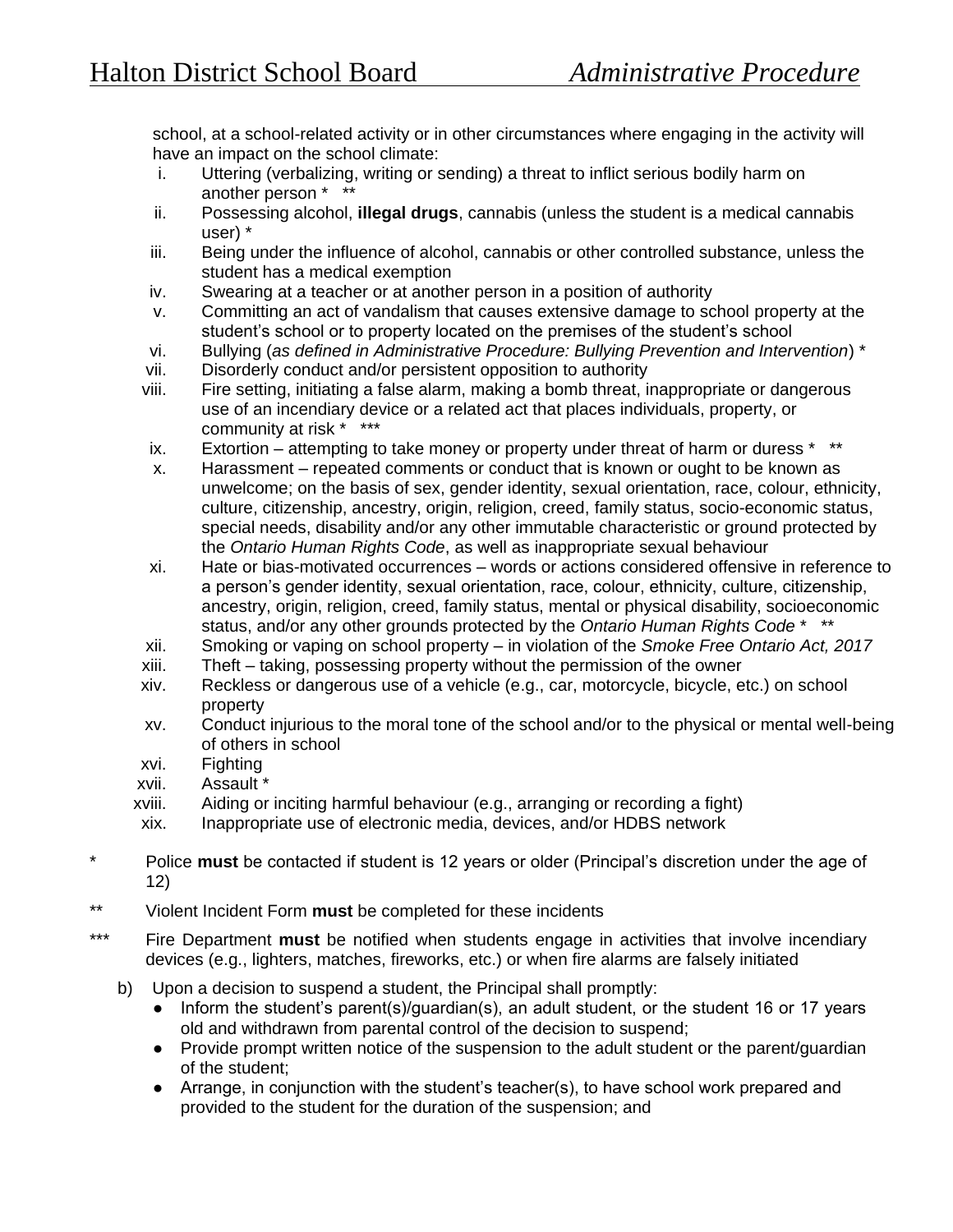school, at a school-related activity or in other circumstances where engaging in the activity will have an impact on the school climate:

- i. Uttering (verbalizing, writing or sending) a threat to inflict serious bodily harm on another person \* \*\*
- ii. Possessing alcohol, **illegal drugs**, cannabis (unless the student is a medical cannabis user) \*
- iii. Being under the influence of alcohol, cannabis or other controlled substance, unless the student has a medical exemption
- iv. Swearing at a teacher or at another person in a position of authority
- v. Committing an act of vandalism that causes extensive damage to school property at the student's school or to property located on the premises of the student's school
- vi. Bullying (*as defined in Administrative Procedure: Bullying Prevention and Intervention*) \*
- vii. Disorderly conduct and/or persistent opposition to authority
- viii. Fire setting, initiating a false alarm, making a bomb threat, inappropriate or dangerous use of an incendiary device or a related act that places individuals, property, or community at risk \* \*\*\*
- ix. Extortion attempting to take money or property under threat of harm or duress  $*$
- x. Harassment repeated comments or conduct that is known or ought to be known as unwelcome; on the basis of sex, gender identity, sexual orientation, race, colour, ethnicity, culture, citizenship, ancestry, origin, religion, creed, family status, socio-economic status, special needs, disability and/or any other immutable characteristic or ground protected by the *Ontario Human Rights Code*, as well as inappropriate sexual behaviour
- xi. Hate or bias-motivated occurrences words or actions considered offensive in reference to a person's gender identity, sexual orientation, race, colour, ethnicity, culture, citizenship, ancestry, origin, religion, creed, family status, mental or physical disability, socioeconomic status, and/or any other grounds protected by the *Ontario Human Rights Code* \* \*\*
- xii. Smoking or vaping on school property in violation of the *Smoke Free Ontario Act, 2017*
- xiii. Theft taking, possessing property without the permission of the owner
- xiv. Reckless or dangerous use of a vehicle (e.g., car, motorcycle, bicycle, etc.) on school property
- xv. Conduct injurious to the moral tone of the school and/or to the physical or mental well-being of others in school
- xvi. Fighting
- xvii. Assault \*
- xviii. Aiding or inciting harmful behaviour (e.g., arranging or recording a fight)
- xix. Inappropriate use of electronic media, devices, and/or HDBS network
- \* Police **must** be contacted if student is 12 years or older (Principal's discretion under the age of 12)
- \*\* Violent Incident Form **must** be completed for these incidents
- \*\*\* Fire Department must be notified when students engage in activities that involve incendiary devices (e.g., lighters, matches, fireworks, etc.) or when fire alarms are falsely initiated
	- b) Upon a decision to suspend a student, the Principal shall promptly:
		- Inform the student's parent(s)/guardian(s), an adult student, or the student 16 or 17 years old and withdrawn from parental control of the decision to suspend;
		- Provide prompt written notice of the suspension to the adult student or the parent/quardian of the student;
		- Arrange, in conjunction with the student's teacher(s), to have school work prepared and provided to the student for the duration of the suspension; and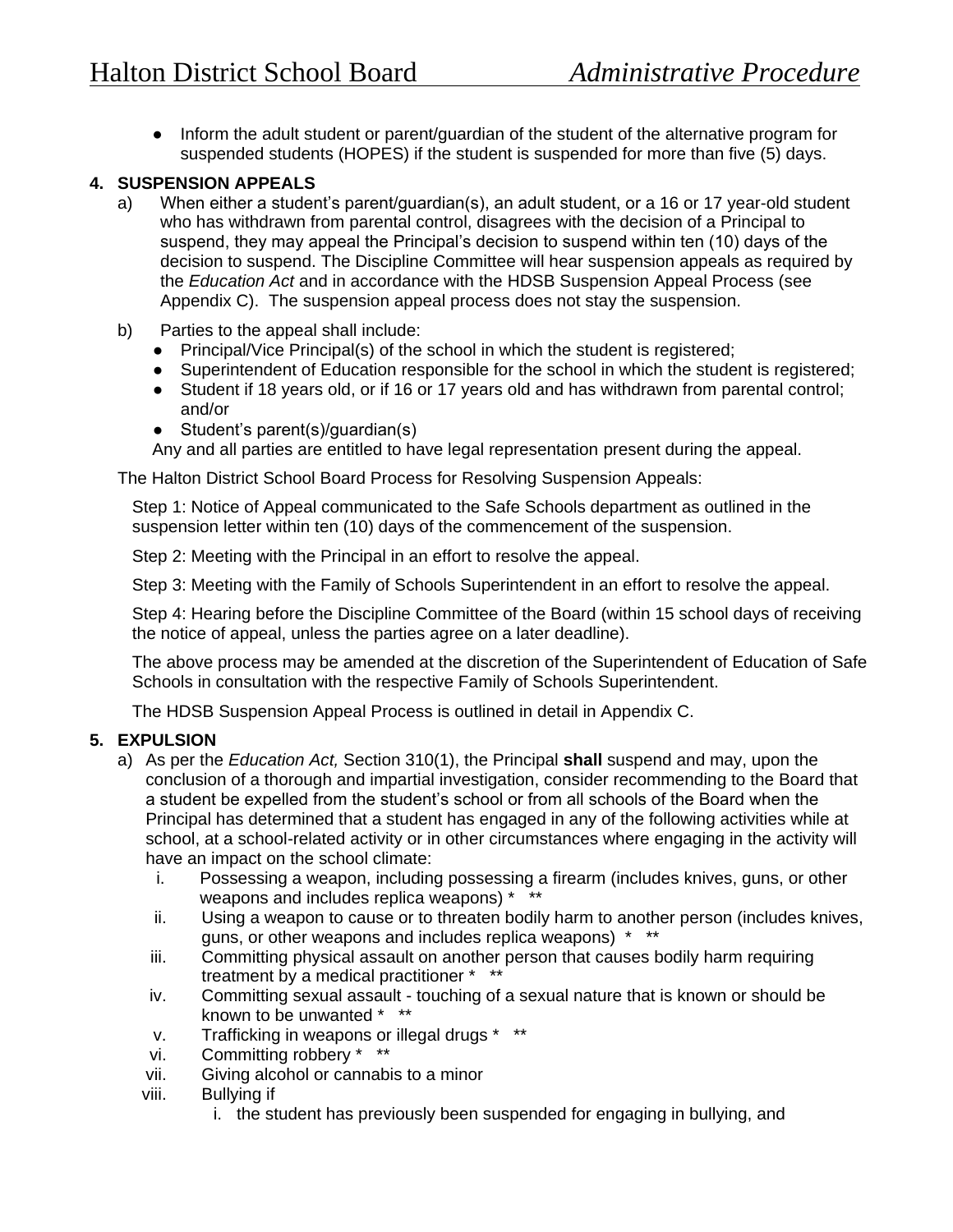● Inform the adult student or parent/guardian of the student of the alternative program for suspended students (HOPES) if the student is suspended for more than five (5) days.

## **4. SUSPENSION APPEALS**

- a) When either a student's parent/guardian(s), an adult student, or a 16 or 17 year-old student who has withdrawn from parental control, disagrees with the decision of a Principal to suspend, they may appeal the Principal's decision to suspend within ten (10) days of the decision to suspend. The Discipline Committee will hear suspension appeals as required by the *Education Act* and in accordance with the HDSB Suspension Appeal Process (see Appendix C). The suspension appeal process does not stay the suspension.
- b) Parties to the appeal shall include:
	- Principal/Vice Principal(s) of the school in which the student is registered;
	- Superintendent of Education responsible for the school in which the student is registered;
	- Student if 18 years old, or if 16 or 17 years old and has withdrawn from parental control; and/or
	- Student's parent(s)/guardian(s)

Any and all parties are entitled to have legal representation present during the appeal.

The Halton District School Board Process for Resolving Suspension Appeals:

Step 1: Notice of Appeal communicated to the Safe Schools department as outlined in the suspension letter within ten (10) days of the commencement of the suspension.

Step 2: Meeting with the Principal in an effort to resolve the appeal.

Step 3: Meeting with the Family of Schools Superintendent in an effort to resolve the appeal.

Step 4: Hearing before the Discipline Committee of the Board (within 15 school days of receiving the notice of appeal, unless the parties agree on a later deadline).

The above process may be amended at the discretion of the Superintendent of Education of Safe Schools in consultation with the respective Family of Schools Superintendent.

The HDSB Suspension Appeal Process is outlined in detail in Appendix C.

### **5. EXPULSION**

- a) As per the *Education Act,* Section 310(1), the Principal **shall** suspend and may, upon the conclusion of a thorough and impartial investigation, consider recommending to the Board that a student be expelled from the student's school or from all schools of the Board when the Principal has determined that a student has engaged in any of the following activities while at school, at a school-related activity or in other circumstances where engaging in the activity will have an impact on the school climate:
	- i. Possessing a weapon, including possessing a firearm (includes knives, guns, or other weapons and includes replica weapons) \* \*\*
	- ii. Using a weapon to cause or to threaten bodily harm to another person (includes knives, guns, or other weapons and includes replica weapons) \* \*\*
	- iii. Committing physical assault on another person that causes bodily harm requiring treatment by a medical practitioner \* \*\*
	- iv. Committing sexual assault touching of a sexual nature that is known or should be known to be unwanted \* \*\*
	- v. Trafficking in weapons or illegal drugs \* \*\*
	- vi. Committing robbery \* \*\*
	- vii. Giving alcohol or cannabis to a minor
	- viii. Bullying if
		- i. the student has previously been suspended for engaging in bullying, and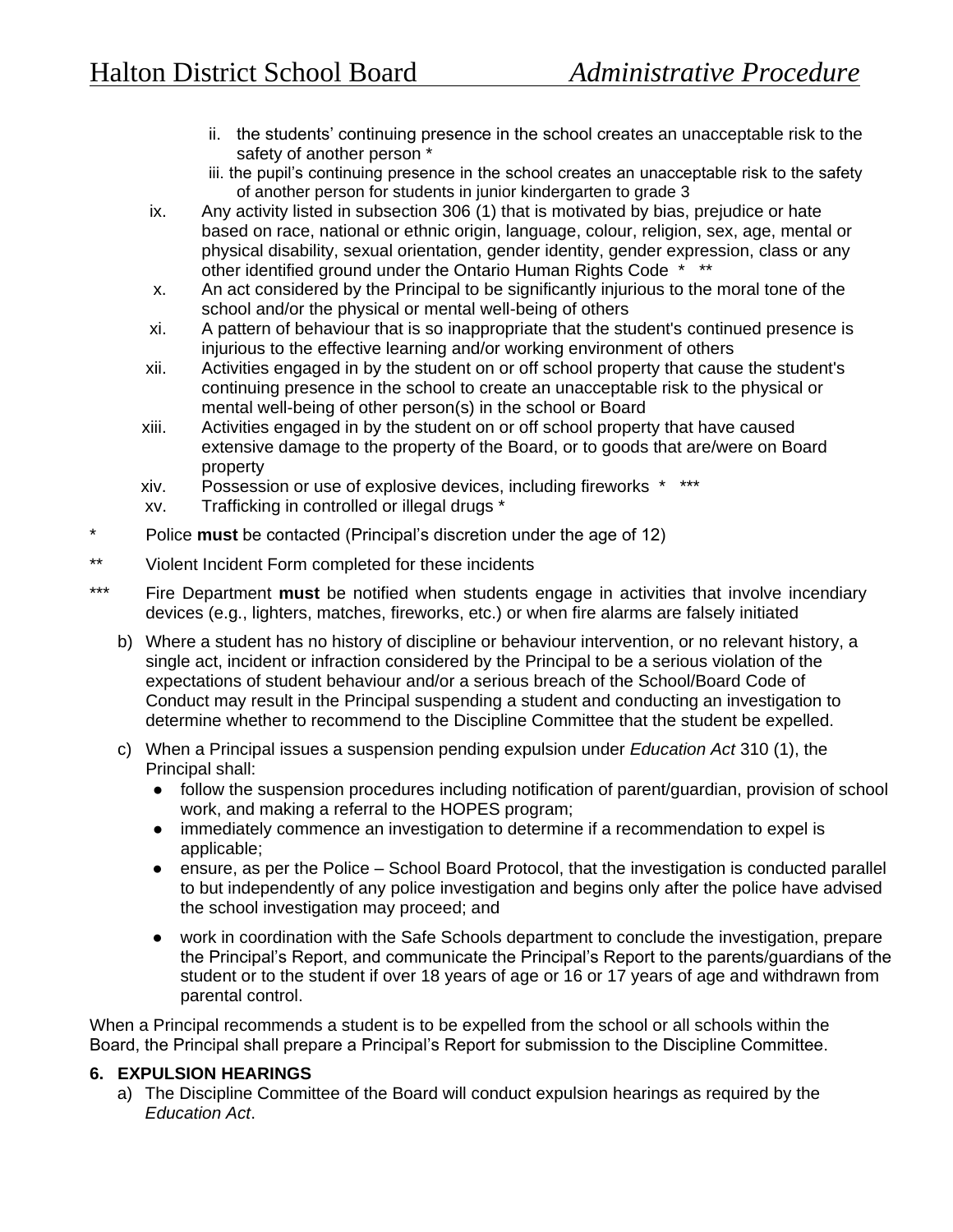- ii. the students' continuing presence in the school creates an unacceptable risk to the safety of another person \*
- iii. the pupil's continuing presence in the school creates an unacceptable risk to the safety of another person for students in junior kindergarten to grade 3
- ix. Any activity listed in subsection 306 (1) that is motivated by bias, prejudice or hate based on race, national or ethnic origin, language, colour, religion, sex, age, mental or physical disability, sexual orientation, gender identity, gender expression, class or any other identified ground under the Ontario Human Rights Code \* \*\*
- x. An act considered by the Principal to be significantly injurious to the moral tone of the school and/or the physical or mental well-being of others
- xi. A pattern of behaviour that is so inappropriate that the student's continued presence is injurious to the effective learning and/or working environment of others
- xii. Activities engaged in by the student on or off school property that cause the student's continuing presence in the school to create an unacceptable risk to the physical or mental well-being of other person(s) in the school or Board
- xiii. Activities engaged in by the student on or off school property that have caused extensive damage to the property of the Board, or to goods that are/were on Board property
- xiv. Possession or use of explosive devices, including fireworks \* \*\*\*
- xv. Trafficking in controlled or illegal drugs \*
- \* Police **must** be contacted (Principal's discretion under the age of 12)
- \*\* Violent Incident Form completed for these incidents
- \*\*\* Fire Department **must** be notified when students engage in activities that involve incendiary devices (e.g., lighters, matches, fireworks, etc.) or when fire alarms are falsely initiated
	- b) Where a student has no history of discipline or behaviour intervention, or no relevant history, a single act, incident or infraction considered by the Principal to be a serious violation of the expectations of student behaviour and/or a serious breach of the School/Board Code of Conduct may result in the Principal suspending a student and conducting an investigation to determine whether to recommend to the Discipline Committee that the student be expelled.
	- c) When a Principal issues a suspension pending expulsion under *Education Act* 310 (1), the Principal shall:
		- follow the suspension procedures including notification of parent/guardian, provision of school work, and making a referral to the HOPES program;
		- immediately commence an investigation to determine if a recommendation to expel is applicable;
		- ensure, as per the Police School Board Protocol, that the investigation is conducted parallel to but independently of any police investigation and begins only after the police have advised the school investigation may proceed; and
		- work in coordination with the Safe Schools department to conclude the investigation, prepare the Principal's Report, and communicate the Principal's Report to the parents/guardians of the student or to the student if over 18 years of age or 16 or 17 years of age and withdrawn from parental control.

When a Principal recommends a student is to be expelled from the school or all schools within the Board, the Principal shall prepare a Principal's Report for submission to the Discipline Committee.

## **6. EXPULSION HEARINGS**

a) The Discipline Committee of the Board will conduct expulsion hearings as required by the *Education Act*.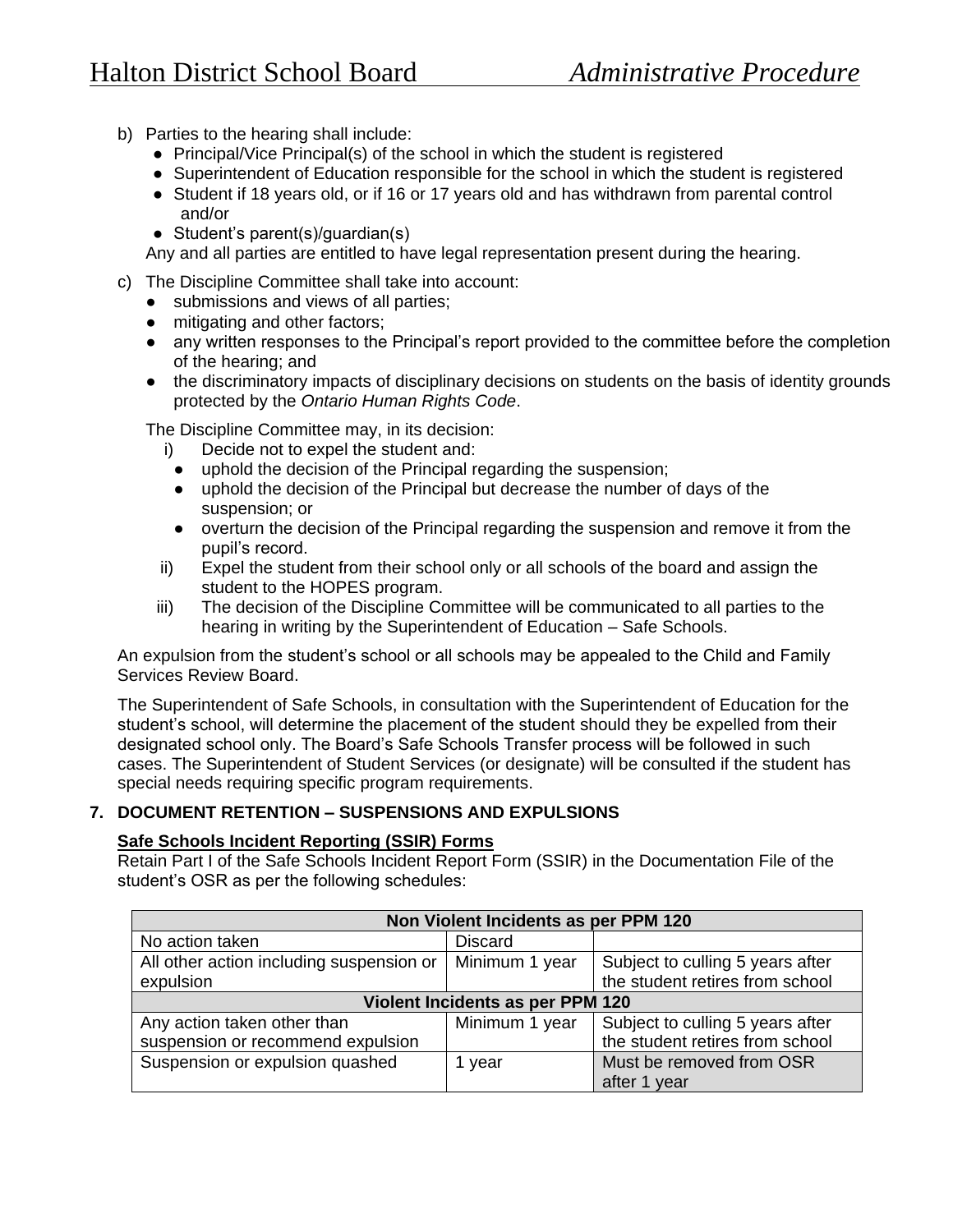- b) Parties to the hearing shall include:
	- Principal/Vice Principal(s) of the school in which the student is registered
	- Superintendent of Education responsible for the school in which the student is registered
	- Student if 18 years old, or if 16 or 17 years old and has withdrawn from parental control and/or
	- Student's parent(s)/guardian(s)

Any and all parties are entitled to have legal representation present during the hearing.

- c) The Discipline Committee shall take into account:
	- submissions and views of all parties;
	- mitigating and other factors;
	- any written responses to the Principal's report provided to the committee before the completion of the hearing; and
	- the discriminatory impacts of disciplinary decisions on students on the basis of identity grounds protected by the *Ontario Human Rights Code*.

The Discipline Committee may, in its decision:

- i) Decide not to expel the student and:
- uphold the decision of the Principal regarding the suspension;
- uphold the decision of the Principal but decrease the number of days of the suspension; or
- overturn the decision of the Principal regarding the suspension and remove it from the pupil's record.
- ii) Expel the student from their school only or all schools of the board and assign the student to the HOPES program.
- iii) The decision of the Discipline Committee will be communicated to all parties to the hearing in writing by the Superintendent of Education – Safe Schools.

An expulsion from the student's school or all schools may be appealed to the Child and Family Services Review Board.

The Superintendent of Safe Schools, in consultation with the Superintendent of Education for the student's school, will determine the placement of the student should they be expelled from their designated school only. The Board's Safe Schools Transfer process will be followed in such cases. The Superintendent of Student Services (or designate) will be consulted if the student has special needs requiring specific program requirements.

## **7. DOCUMENT RETENTION – SUSPENSIONS AND EXPULSIONS**

### **Safe Schools Incident Reporting (SSIR) Forms**

Retain Part I of the Safe Schools Incident Report Form (SSIR) in the Documentation File of the student's OSR as per the following schedules:

| Non Violent Incidents as per PPM 120     |                |                                  |  |
|------------------------------------------|----------------|----------------------------------|--|
| No action taken                          | <b>Discard</b> |                                  |  |
| All other action including suspension or | Minimum 1 year | Subject to culling 5 years after |  |
| expulsion                                |                | the student retires from school  |  |
| Violent Incidents as per PPM 120         |                |                                  |  |
| Any action taken other than              | Minimum 1 year | Subject to culling 5 years after |  |
| suspension or recommend expulsion        |                | the student retires from school  |  |
| Suspension or expulsion quashed          | year           | Must be removed from OSR         |  |
|                                          |                | after 1 year                     |  |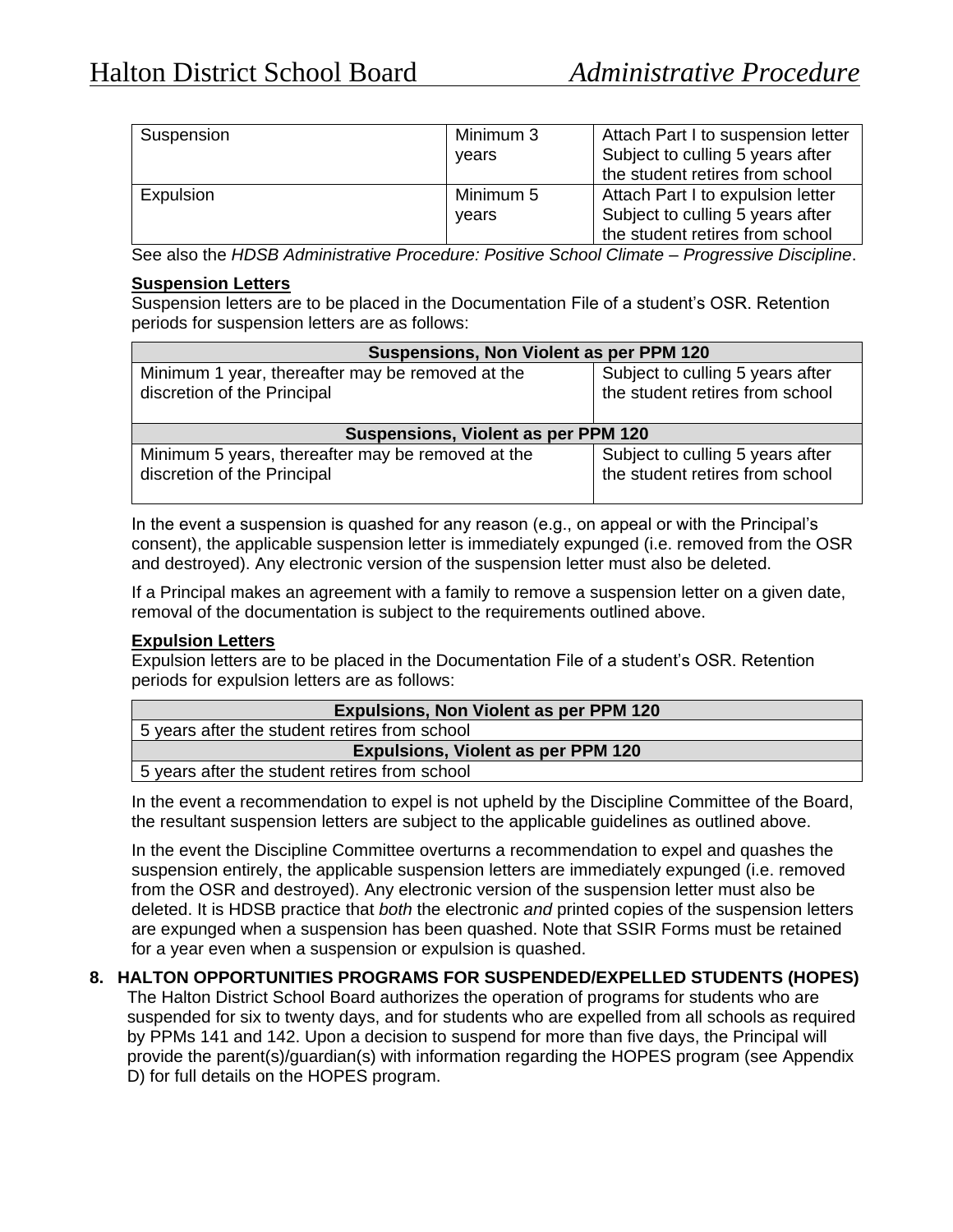| Suspension | Minimum 3<br>vears | Attach Part I to suspension letter<br>Subject to culling 5 years after<br>the student retires from school |
|------------|--------------------|-----------------------------------------------------------------------------------------------------------|
| Expulsion  | Minimum 5<br>vears | Attach Part I to expulsion letter<br>Subject to culling 5 years after<br>the student retires from school  |

See also the *HDSB Administrative Procedure: Positive School Climate – Progressive Discipline*.

#### **Suspension Letters**

Suspension letters are to be placed in the Documentation File of a student's OSR. Retention periods for suspension letters are as follows:

| Suspensions, Non Violent as per PPM 120                                         |                                                                     |  |
|---------------------------------------------------------------------------------|---------------------------------------------------------------------|--|
| Minimum 1 year, thereafter may be removed at the<br>discretion of the Principal | Subject to culling 5 years after<br>the student retires from school |  |
| Suspensions, Violent as per PPM 120                                             |                                                                     |  |
|                                                                                 |                                                                     |  |

In the event a suspension is quashed for any reason (e.g., on appeal or with the Principal's consent), the applicable suspension letter is immediately expunged (i.e. removed from the OSR and destroyed). Any electronic version of the suspension letter must also be deleted.

If a Principal makes an agreement with a family to remove a suspension letter on a given date, removal of the documentation is subject to the requirements outlined above.

#### **Expulsion Letters**

Expulsion letters are to be placed in the Documentation File of a student's OSR. Retention periods for expulsion letters are as follows:

| Expulsions, Non Violent as per PPM 120        |  |  |
|-----------------------------------------------|--|--|
| 5 years after the student retires from school |  |  |
| <b>Expulsions, Violent as per PPM 120</b>     |  |  |
| 5 years after the student retires from school |  |  |

5 years after the student retires from school

In the event a recommendation to expel is not upheld by the Discipline Committee of the Board, the resultant suspension letters are subject to the applicable guidelines as outlined above.

In the event the Discipline Committee overturns a recommendation to expel and quashes the suspension entirely, the applicable suspension letters are immediately expunged (i.e. removed from the OSR and destroyed). Any electronic version of the suspension letter must also be deleted. It is HDSB practice that *both* the electronic *and* printed copies of the suspension letters are expunged when a suspension has been quashed. Note that SSIR Forms must be retained for a year even when a suspension or expulsion is quashed.

### **8. HALTON OPPORTUNITIES PROGRAMS FOR SUSPENDED/EXPELLED STUDENTS (HOPES)**

The Halton District School Board authorizes the operation of programs for students who are suspended for six to twenty days, and for students who are expelled from all schools as required by PPMs 141 and 142. Upon a decision to suspend for more than five days, the Principal will provide the parent(s)/guardian(s) with information regarding the HOPES program (see Appendix D) for full details on the HOPES program.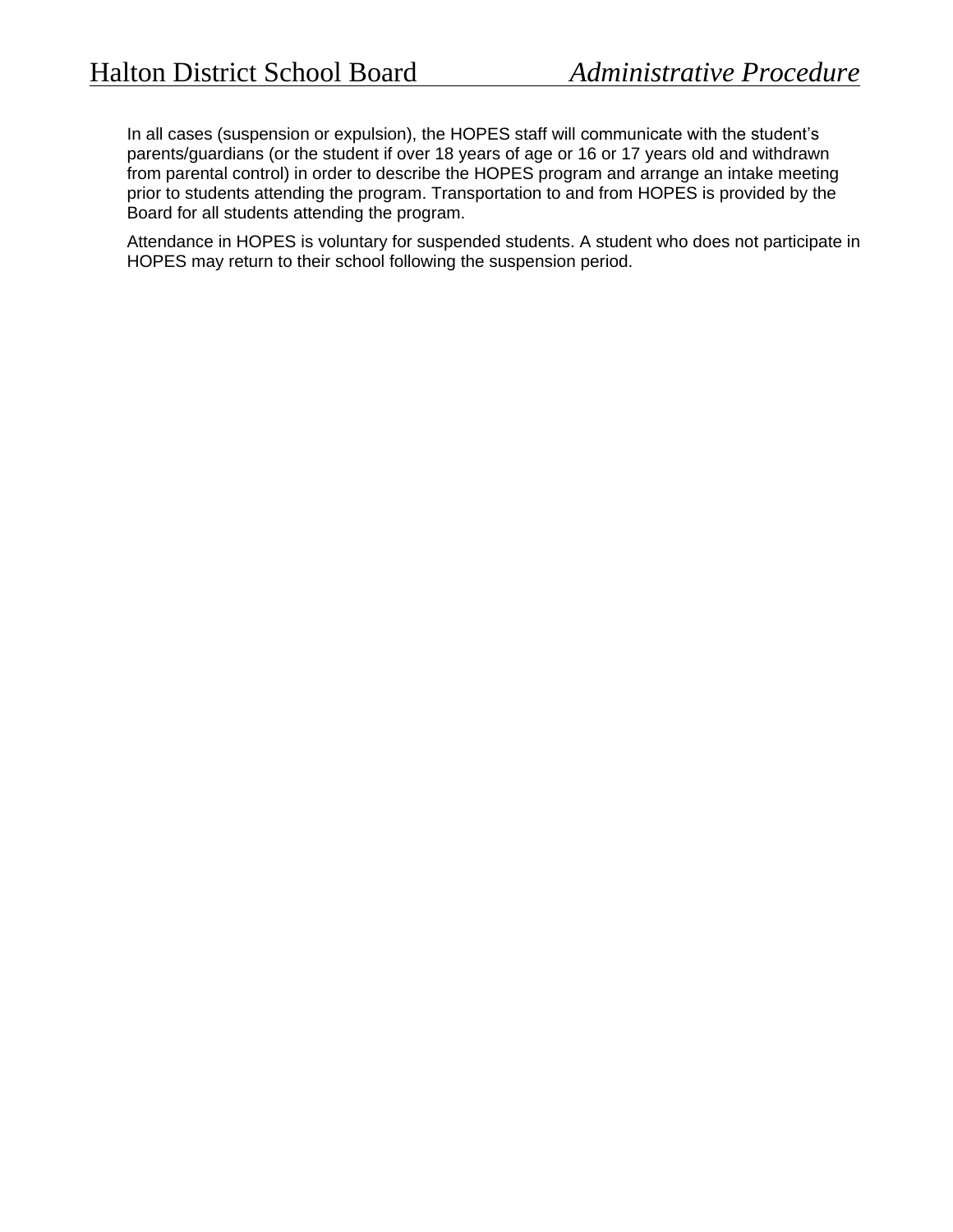In all cases (suspension or expulsion), the HOPES staff will communicate with the student's parents/guardians (or the student if over 18 years of age or 16 or 17 years old and withdrawn from parental control) in order to describe the HOPES program and arrange an intake meeting prior to students attending the program. Transportation to and from HOPES is provided by the Board for all students attending the program.

Attendance in HOPES is voluntary for suspended students. A student who does not participate in HOPES may return to their school following the suspension period.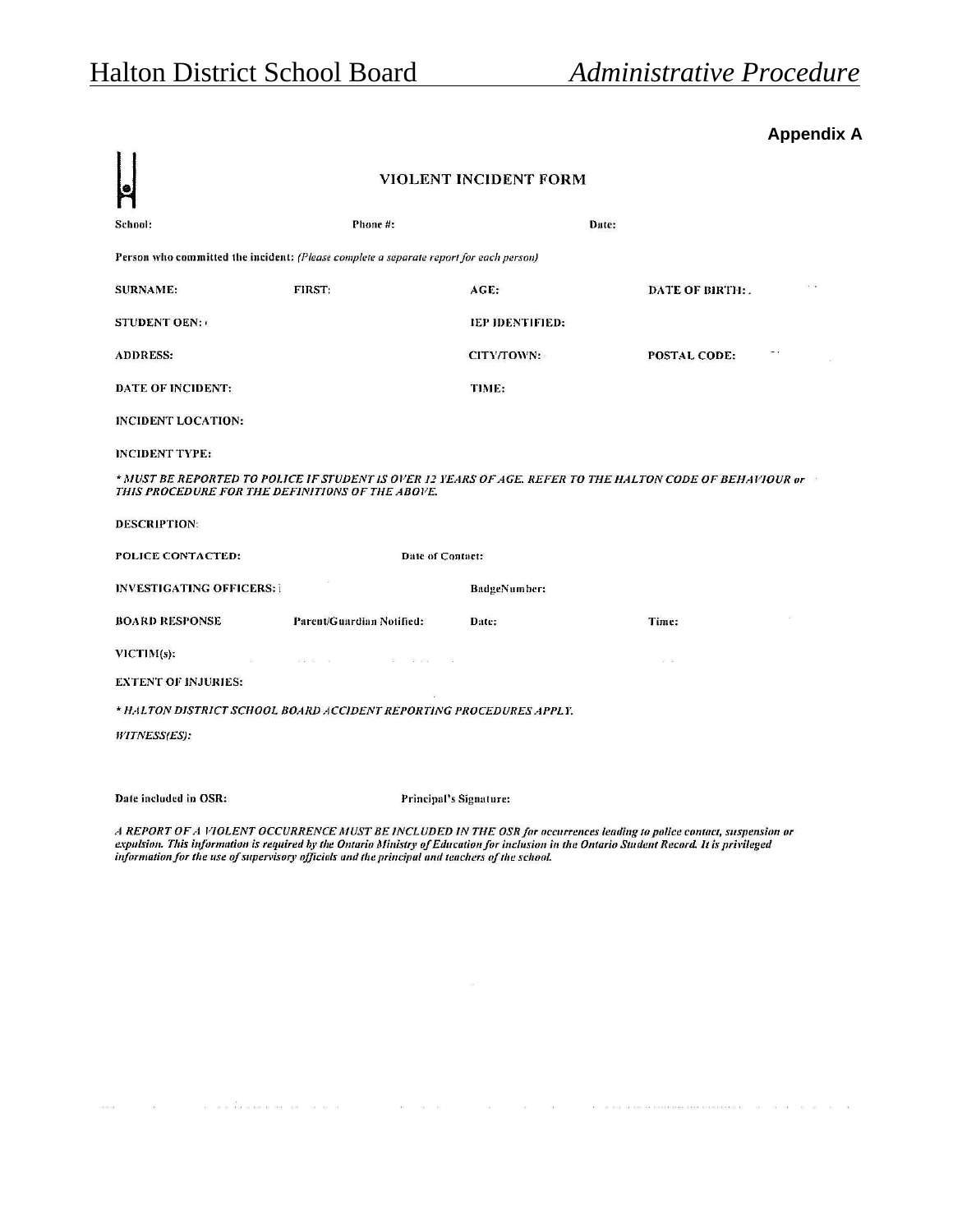## **Appendix A**

|                                                                                                                                                               | VIOLENT INCIDENT FORM                                               |                     |                |  |
|---------------------------------------------------------------------------------------------------------------------------------------------------------------|---------------------------------------------------------------------|---------------------|----------------|--|
| School:                                                                                                                                                       | Phone #:                                                            | Date:               |                |  |
| Person who committed the incident: (Please complete a separate report for each person)                                                                        |                                                                     |                     |                |  |
| <b>SURNAME:</b>                                                                                                                                               | <b>FIRST:</b>                                                       | AGE:                | DATE OF BIRTH: |  |
| <b>STUDENT OEN:</b>                                                                                                                                           |                                                                     | IEP IDENTIFIED:     |                |  |
| <b>ADDRESS:</b>                                                                                                                                               |                                                                     | CITY/TOWN:          | POSTAL CODE:   |  |
| DATE OF INCIDENT:                                                                                                                                             |                                                                     | TIME:               |                |  |
| INCIDENT LOCATION:                                                                                                                                            |                                                                     |                     |                |  |
| <b>INCIDENT TYPE:</b>                                                                                                                                         |                                                                     |                     |                |  |
| * MUST BE REPORTED TO POLICE IF STUDENT IS OVER 12 YEARS OF AGE. REFER TO THE HALTON CODE OF BEHAVIOUR or<br>THIS PROCEDURE FOR THE DEFINITIONS OF THE ABOVE. |                                                                     |                     |                |  |
| <b>DESCRIPTION:</b>                                                                                                                                           |                                                                     |                     |                |  |
| POLICE CONTACTED:                                                                                                                                             | Date of Contact:                                                    |                     |                |  |
| <b>INVESTIGATING OFFICERS: I</b>                                                                                                                              |                                                                     | <b>BadgeNumber:</b> |                |  |
| <b>BOARD RESPONSE</b>                                                                                                                                         | Parent/Guardian Notified:                                           | Date:               | Time:          |  |
| $VICTIM(s)$ :                                                                                                                                                 | 100001-009                                                          |                     | $31-32$        |  |
| <b>EXTENT OF INJURIES:</b>                                                                                                                                    |                                                                     |                     |                |  |
|                                                                                                                                                               | * HALTON DISTRICT SCHOOL BOARD ACCIDENT REPORTING PROCEDURES APPLY. |                     |                |  |
| <b>WITNESS(ES):</b>                                                                                                                                           |                                                                     |                     |                |  |
|                                                                                                                                                               |                                                                     |                     |                |  |
| Date included in OSR:                                                                                                                                         | Principal's Signature:                                              |                     |                |  |

A REPORT OF A VIOLENT OCCURRENCE MUST BE INCLUDED IN THE OSR for occurrences leading to police contact, suspension or<br>expulsion. This information is required by the Ontario Ministry of Education for inclusion in the Ontari

 $\mathcal{B}$ 

 $\ldots \qquad \qquad \ldots \qquad \qquad \qquad \ldots \qquad \qquad \ldots \qquad \qquad \ldots \qquad \qquad \ldots \qquad \qquad \ldots \qquad \qquad \ldots \qquad \qquad \ldots \qquad \qquad \ldots \qquad \qquad \ldots \qquad \qquad \ldots \qquad \qquad \ldots \qquad \qquad \ldots \qquad \qquad \ldots \qquad \qquad \ldots \qquad \qquad \ldots \qquad \qquad \ldots \qquad \qquad \ldots \qquad \qquad \ldots \qquad \qquad \ldots \qquad \qquad \ldots \qquad \qquad \ldots \qquad \qquad \ldots \qquad \qquad \$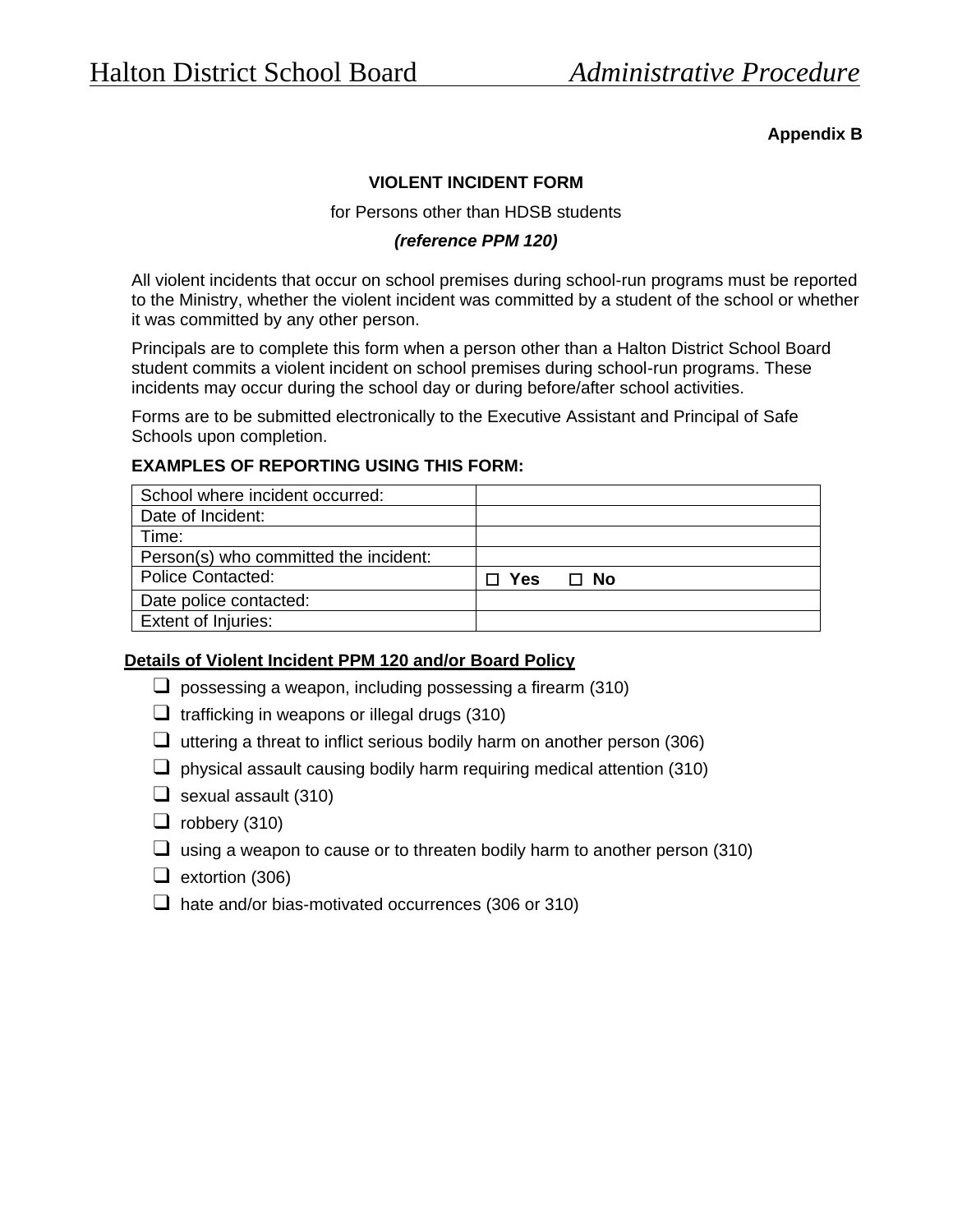## **Appendix B**

### **VIOLENT INCIDENT FORM**

for Persons other than HDSB students

### *(reference PPM 120)*

All violent incidents that occur on school premises during school-run programs must be reported to the Ministry, whether the violent incident was committed by a student of the school or whether it was committed by any other person.

Principals are to complete this form when a person other than a Halton District School Board student commits a violent incident on school premises during school-run programs. These incidents may occur during the school day or during before/after school activities.

Forms are to be submitted electronically to the Executive Assistant and Principal of Safe Schools upon completion.

### **EXAMPLES OF REPORTING USING THIS FORM:**

| School where incident occurred:       |            |      |
|---------------------------------------|------------|------|
| Date of Incident:                     |            |      |
| Time:                                 |            |      |
| Person(s) who committed the incident: |            |      |
| <b>Police Contacted:</b>              | $\Box$ Yes | ⊟ No |
| Date police contacted:                |            |      |
| <b>Extent of Injuries:</b>            |            |      |

#### **Details of Violent Incident PPM 120 and/or Board Policy**

- $\Box$  possessing a weapon, including possessing a firearm (310)
- $\Box$  trafficking in weapons or illegal drugs (310)
- $\Box$  uttering a threat to inflict serious bodily harm on another person (306)
- $\Box$  physical assault causing bodily harm requiring medical attention (310)
- $\Box$  sexual assault (310)
- $\Box$  robbery (310)
- $\Box$  using a weapon to cause or to threaten bodily harm to another person (310)
- ❑ extortion (306)
- $\Box$  hate and/or bias-motivated occurrences (306 or 310)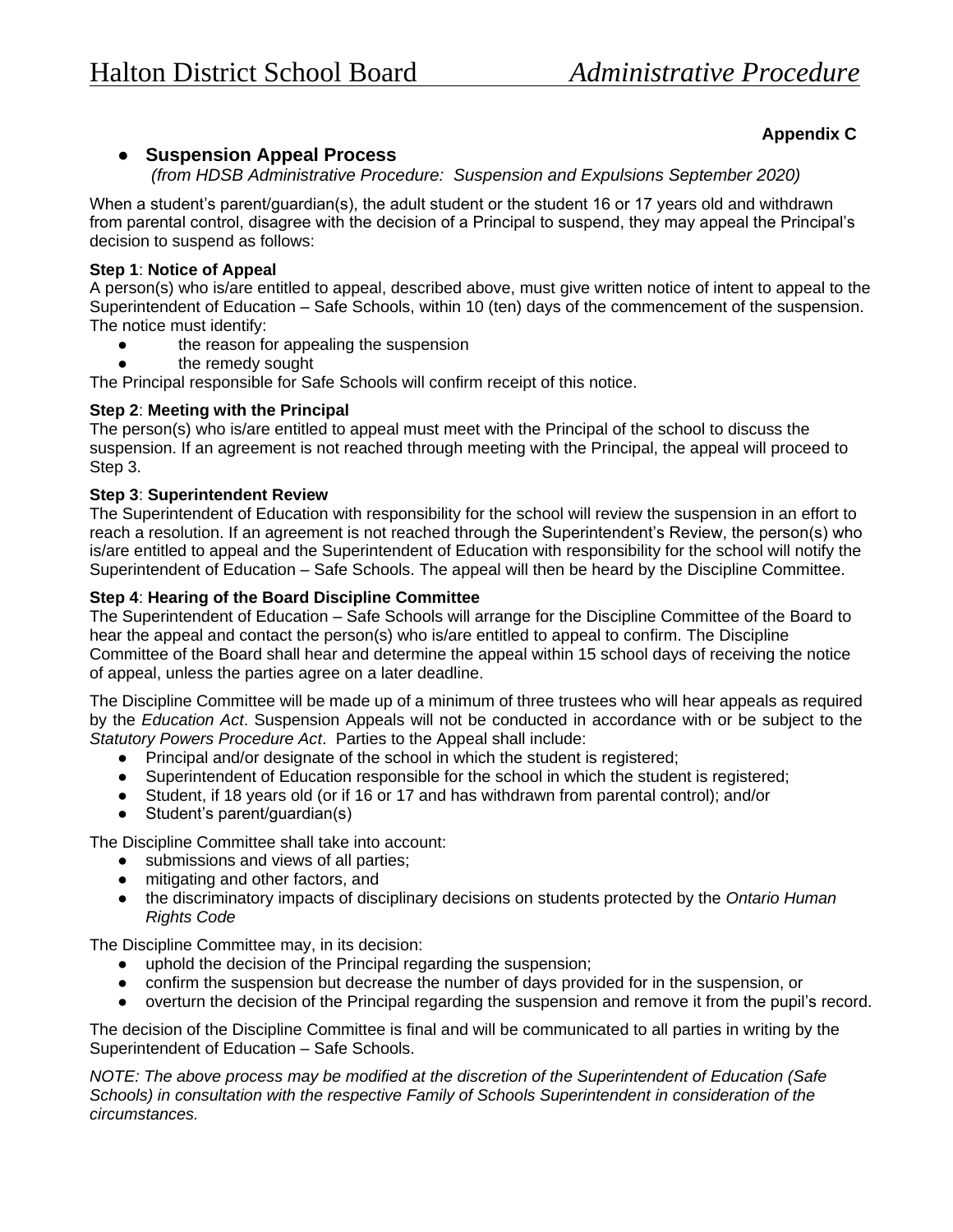## ● **Suspension Appeal Process**

*(from HDSB Administrative Procedure: Suspension and Expulsions September 2020)*

When a student's parent/guardian(s), the adult student or the student 16 or 17 years old and withdrawn from parental control, disagree with the decision of a Principal to suspend, they may appeal the Principal's decision to suspend as follows:

#### **Step 1**: **Notice of Appeal**

A person(s) who is/are entitled to appeal, described above, must give written notice of intent to appeal to the Superintendent of Education – Safe Schools, within 10 (ten) days of the commencement of the suspension. The notice must identify:

- the reason for appealing the suspension
- the remedy sought

The Principal responsible for Safe Schools will confirm receipt of this notice.

#### **Step 2**: **Meeting with the Principal**

The person(s) who is/are entitled to appeal must meet with the Principal of the school to discuss the suspension. If an agreement is not reached through meeting with the Principal, the appeal will proceed to Step 3.

#### **Step 3**: **Superintendent Review**

The Superintendent of Education with responsibility for the school will review the suspension in an effort to reach a resolution. If an agreement is not reached through the Superintendent's Review, the person(s) who is/are entitled to appeal and the Superintendent of Education with responsibility for the school will notify the Superintendent of Education – Safe Schools. The appeal will then be heard by the Discipline Committee.

#### **Step 4**: **Hearing of the Board Discipline Committee**

The Superintendent of Education – Safe Schools will arrange for the Discipline Committee of the Board to hear the appeal and contact the person(s) who is/are entitled to appeal to confirm. The Discipline Committee of the Board shall hear and determine the appeal within 15 school days of receiving the notice of appeal, unless the parties agree on a later deadline.

The Discipline Committee will be made up of a minimum of three trustees who will hear appeals as required by the *Education Act*. Suspension Appeals will not be conducted in accordance with or be subject to the *Statutory Powers Procedure Act*. Parties to the Appeal shall include:

- Principal and/or designate of the school in which the student is registered;
- Superintendent of Education responsible for the school in which the student is registered;
- Student, if 18 years old (or if 16 or 17 and has withdrawn from parental control); and/or
- Student's parent/guardian(s)

The Discipline Committee shall take into account:

- submissions and views of all parties;
- mitigating and other factors, and
- the discriminatory impacts of disciplinary decisions on students protected by the *Ontario Human Rights Code*

The Discipline Committee may, in its decision:

- uphold the decision of the Principal regarding the suspension;
- confirm the suspension but decrease the number of days provided for in the suspension, or
- overturn the decision of the Principal regarding the suspension and remove it from the pupil's record.

The decision of the Discipline Committee is final and will be communicated to all parties in writing by the Superintendent of Education – Safe Schools.

*NOTE: The above process may be modified at the discretion of the Superintendent of Education (Safe Schools) in consultation with the respective Family of Schools Superintendent in consideration of the circumstances.*

## **Appendix C**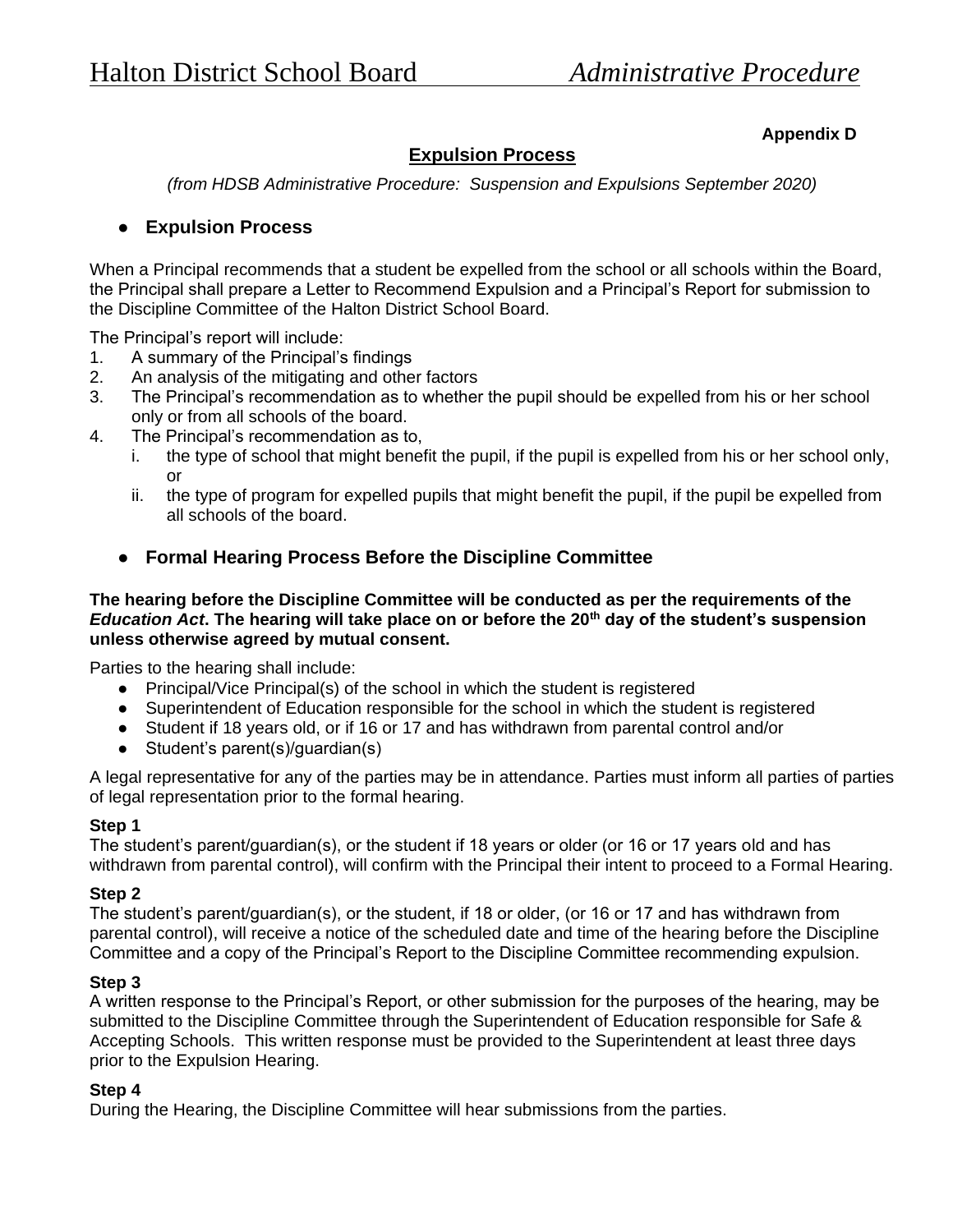## **Appendix D**

# **Expulsion Process**

*(from HDSB Administrative Procedure: Suspension and Expulsions September 2020)*

## ● **Expulsion Process**

When a Principal recommends that a student be expelled from the school or all schools within the Board, the Principal shall prepare a Letter to Recommend Expulsion and a Principal's Report for submission to the Discipline Committee of the Halton District School Board.

The Principal's report will include:

- 1. A summary of the Principal's findings
- 2. An analysis of the mitigating and other factors
- 3. The Principal's recommendation as to whether the pupil should be expelled from his or her school only or from all schools of the board.
- 4. The Principal's recommendation as to,
	- i. the type of school that might benefit the pupil, if the pupil is expelled from his or her school only, or
	- ii. the type of program for expelled pupils that might benefit the pupil, if the pupil be expelled from all schools of the board.
	- **Formal Hearing Process Before the Discipline Committee**

#### **The hearing before the Discipline Committee will be conducted as per the requirements of the**  *Education Act***. The hearing will take place on or before the 20th day of the student's suspension unless otherwise agreed by mutual consent.**

Parties to the hearing shall include:

- Principal/Vice Principal(s) of the school in which the student is registered
- Superintendent of Education responsible for the school in which the student is registered
- Student if 18 years old, or if 16 or 17 and has withdrawn from parental control and/or
- Student's parent(s)/guardian(s)

A legal representative for any of the parties may be in attendance. Parties must inform all parties of parties of legal representation prior to the formal hearing.

#### **Step 1**

The student's parent/guardian(s), or the student if 18 years or older (or 16 or 17 years old and has withdrawn from parental control), will confirm with the Principal their intent to proceed to a Formal Hearing.

#### **Step 2**

The student's parent/guardian(s), or the student, if 18 or older, (or 16 or 17 and has withdrawn from parental control), will receive a notice of the scheduled date and time of the hearing before the Discipline Committee and a copy of the Principal's Report to the Discipline Committee recommending expulsion.

#### **Step 3**

A written response to the Principal's Report, or other submission for the purposes of the hearing, may be submitted to the Discipline Committee through the Superintendent of Education responsible for Safe & Accepting Schools. This written response must be provided to the Superintendent at least three days prior to the Expulsion Hearing.

#### **Step 4**

During the Hearing, the Discipline Committee will hear submissions from the parties.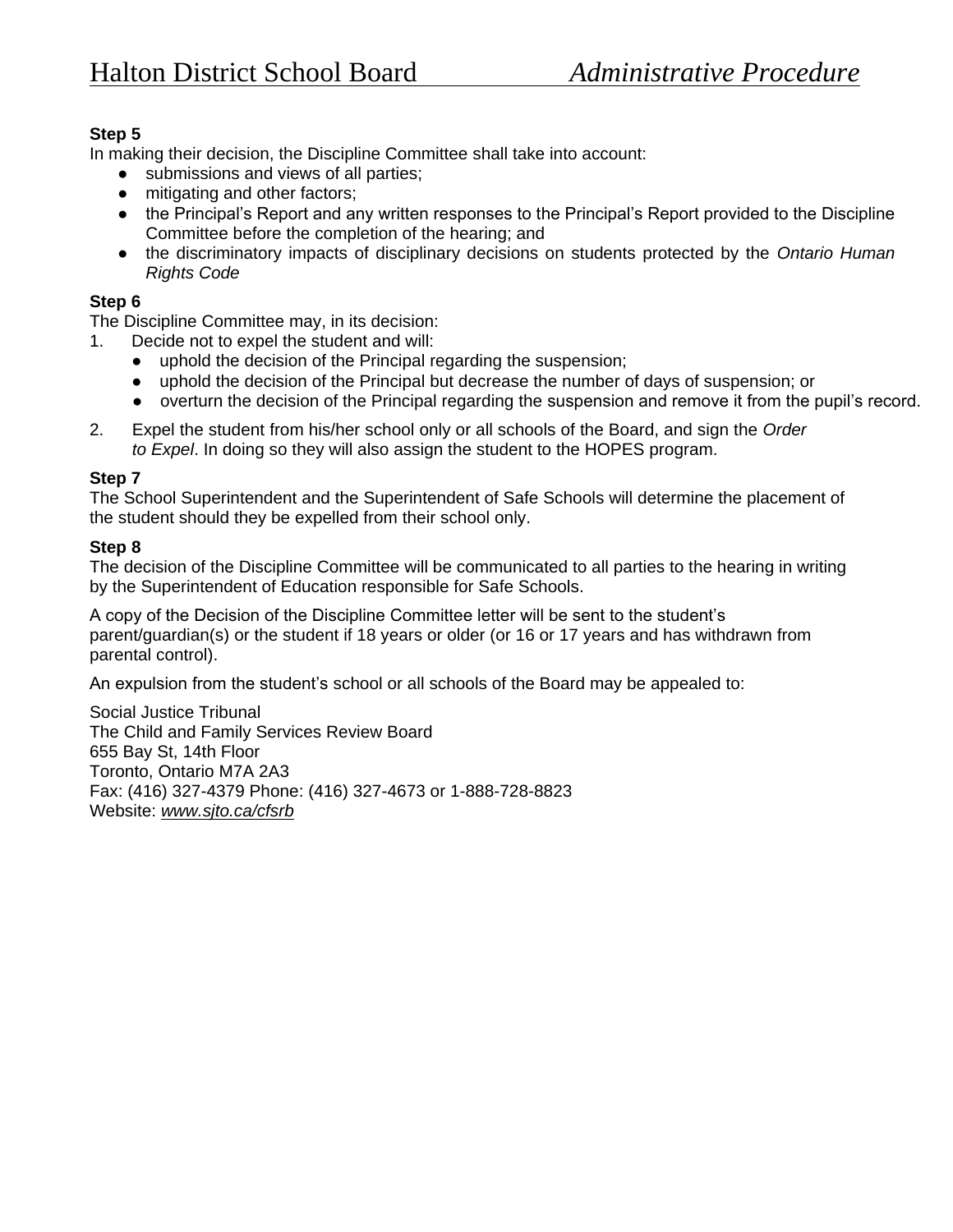## **Step 5**

In making their decision, the Discipline Committee shall take into account:

- submissions and views of all parties;
- mitigating and other factors;
- the Principal's Report and any written responses to the Principal's Report provided to the Discipline Committee before the completion of the hearing; and
- the discriminatory impacts of disciplinary decisions on students protected by the *Ontario Human Rights Code*

### **Step 6**

The Discipline Committee may, in its decision:

- 1. Decide not to expel the student and will:
	- uphold the decision of the Principal regarding the suspension;
	- uphold the decision of the Principal but decrease the number of days of suspension; or
	- overturn the decision of the Principal regarding the suspension and remove it from the pupil's record.
- 2. Expel the student from his/her school only or all schools of the Board, and sign the *Order to Expel*. In doing so they will also assign the student to the HOPES program.

### **Step 7**

The School Superintendent and the Superintendent of Safe Schools will determine the placement of the student should they be expelled from their school only.

## **Step 8**

The decision of the Discipline Committee will be communicated to all parties to the hearing in writing by the Superintendent of Education responsible for Safe Schools.

A copy of the Decision of the Discipline Committee letter will be sent to the student's parent/guardian(s) or the student if 18 years or older (or 16 or 17 years and has withdrawn from parental control).

An expulsion from the student's school or all schools of the Board may be appealed to:

Social Justice Tribunal The Child and Family Services Review Board 655 Bay St, 14th Floor Toronto, Ontario M7A 2A3 Fax: (416) 327-4379 Phone: (416) 327-4673 or 1-888-728-8823 Website: *[www.sjto.ca/cfsrb](about:blank)*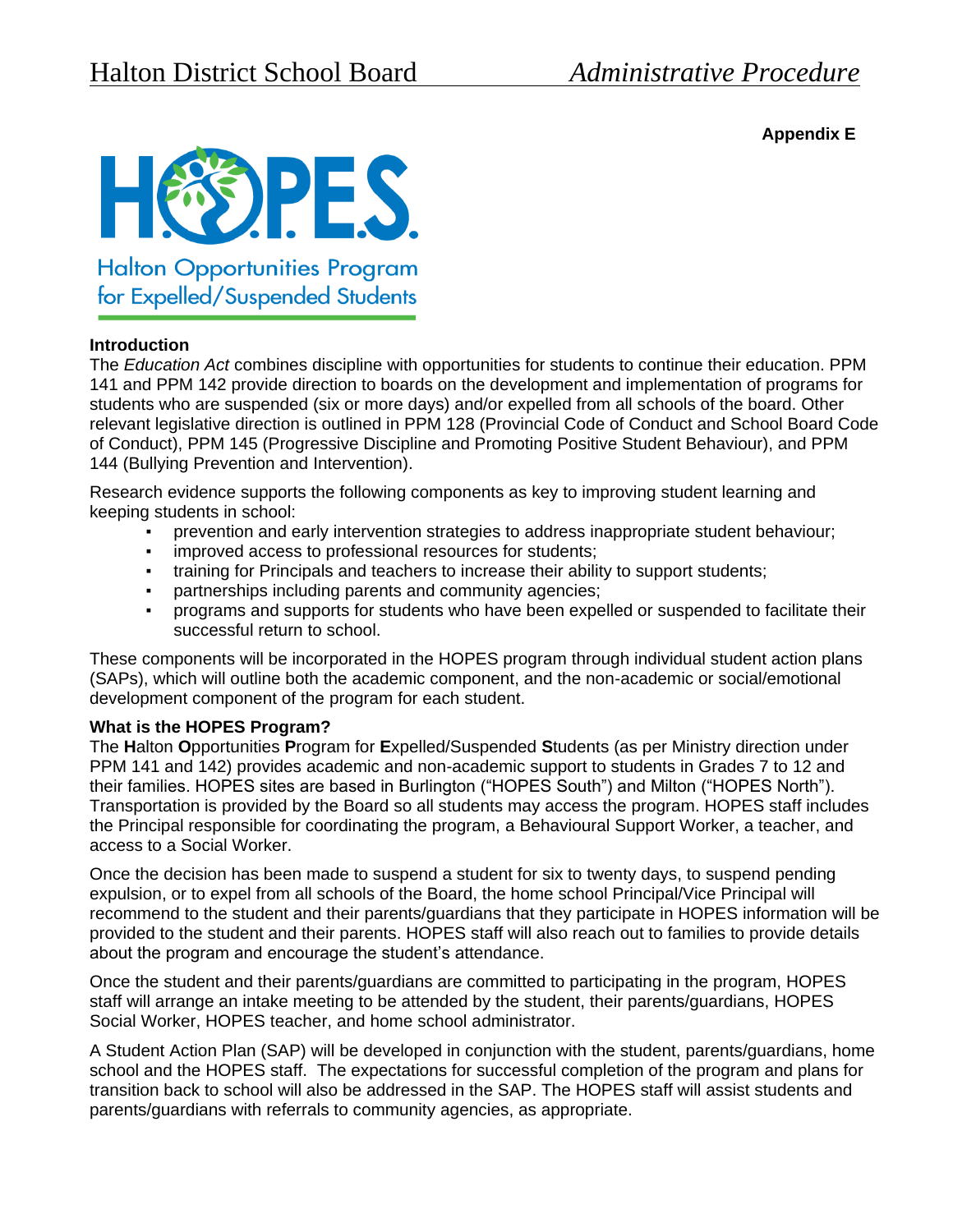**Appendix E**



for Expelled/Suspended Students

## **Introduction**

The *Education Act* combines discipline with opportunities for students to continue their education. PPM 141 and PPM 142 provide direction to boards on the development and implementation of programs for students who are suspended (six or more days) and/or expelled from all schools of the board. Other relevant legislative direction is outlined in PPM 128 (Provincial Code of Conduct and School Board Code of Conduct), PPM 145 (Progressive Discipline and Promoting Positive Student Behaviour), and PPM 144 (Bullying Prevention and Intervention).

Research evidence supports the following components as key to improving student learning and keeping students in school:

- prevention and early intervention strategies to address inappropriate student behaviour;
- improved access to professional resources for students;
- training for Principals and teachers to increase their ability to support students;
- partnerships including parents and community agencies;
- programs and supports for students who have been expelled or suspended to facilitate their successful return to school.

These components will be incorporated in the HOPES program through individual student action plans (SAPs), which will outline both the academic component, and the non-academic or social/emotional development component of the program for each student.

### **What is the HOPES Program?**

The **H**alton **O**pportunities **P**rogram for **E**xpelled/Suspended **S**tudents (as per Ministry direction under PPM 141 and 142) provides academic and non-academic support to students in Grades 7 to 12 and their families. HOPES sites are based in Burlington ("HOPES South") and Milton ("HOPES North"). Transportation is provided by the Board so all students may access the program. HOPES staff includes the Principal responsible for coordinating the program, a Behavioural Support Worker, a teacher, and access to a Social Worker.

Once the decision has been made to suspend a student for six to twenty days, to suspend pending expulsion, or to expel from all schools of the Board, the home school Principal/Vice Principal will recommend to the student and their parents/guardians that they participate in HOPES information will be provided to the student and their parents. HOPES staff will also reach out to families to provide details about the program and encourage the student's attendance.

Once the student and their parents/guardians are committed to participating in the program, HOPES staff will arrange an intake meeting to be attended by the student, their parents/guardians, HOPES Social Worker, HOPES teacher, and home school administrator.

A Student Action Plan (SAP) will be developed in conjunction with the student, parents/guardians, home school and the HOPES staff. The expectations for successful completion of the program and plans for transition back to school will also be addressed in the SAP. The HOPES staff will assist students and parents/guardians with referrals to community agencies, as appropriate.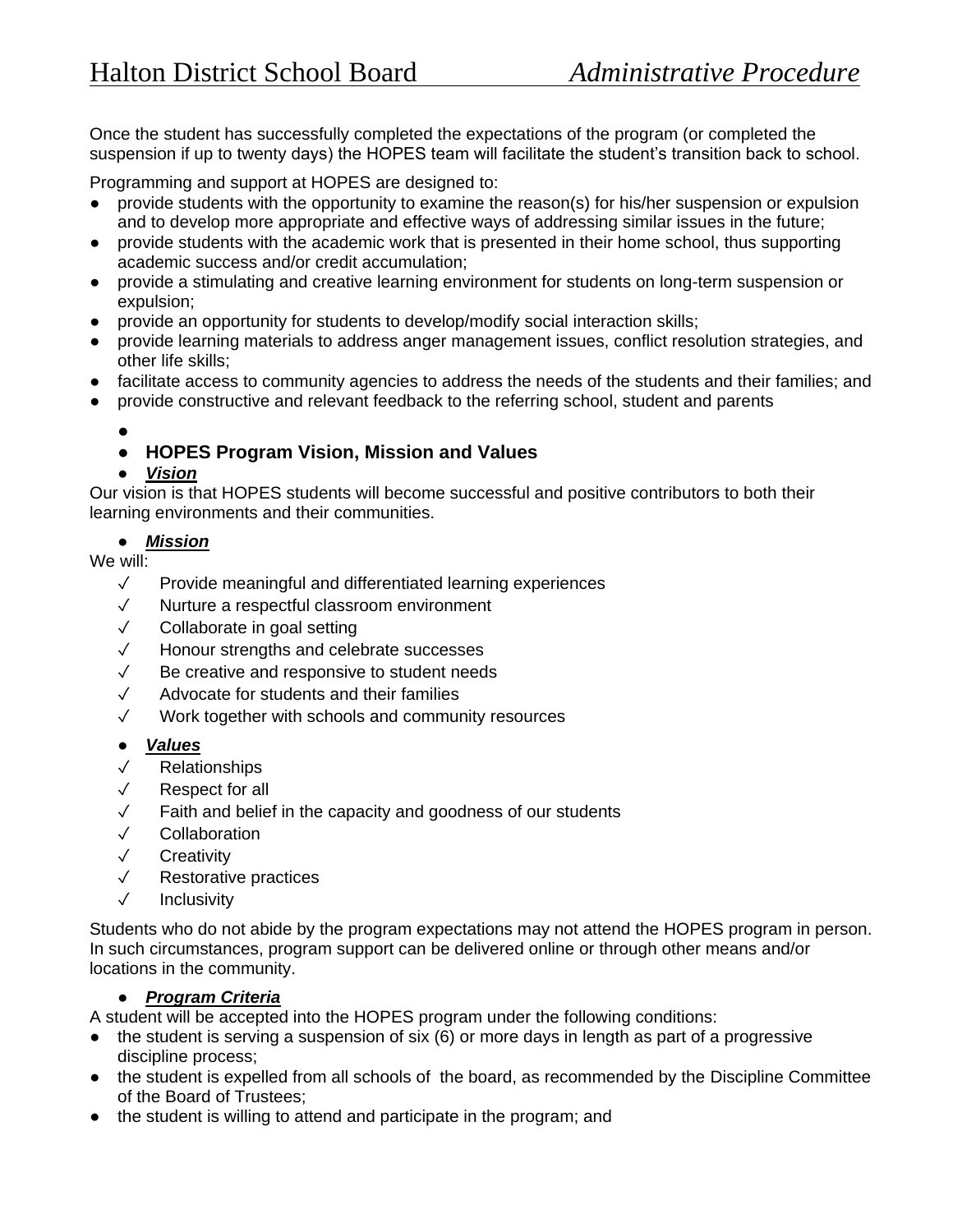Once the student has successfully completed the expectations of the program (or completed the suspension if up to twenty days) the HOPES team will facilitate the student's transition back to school.

Programming and support at HOPES are designed to:

- provide students with the opportunity to examine the reason(s) for his/her suspension or expulsion and to develop more appropriate and effective ways of addressing similar issues in the future;
- provide students with the academic work that is presented in their home school, thus supporting academic success and/or credit accumulation;
- provide a stimulating and creative learning environment for students on long-term suspension or expulsion;
- provide an opportunity for students to develop/modify social interaction skills;
- provide learning materials to address anger management issues, conflict resolution strategies, and other life skills;
- facilitate access to community agencies to address the needs of the students and their families; and
- provide constructive and relevant feedback to the referring school, student and parents
	- ●

# ● **HOPES Program Vision, Mission and Values**

## ● *Vision*

Our vision is that HOPES students will become successful and positive contributors to both their learning environments and their communities.

## ● *Mission*

We will:

- ✓ Provide meaningful and differentiated learning experiences
- ✓ Nurture a respectful classroom environment
- ✓ Collaborate in goal setting
- ✓ Honour strengths and celebrate successes
- ✓ Be creative and responsive to student needs
- ✓ Advocate for students and their families
- ✓ Work together with schools and community resources
- *Values*
- ✓ Relationships
- ✓ Respect for all
- ✓ Faith and belief in the capacity and goodness of our students
- ✓ Collaboration
- ✓ Creativity
- ✓ Restorative practices
- ✓ Inclusivity

Students who do not abide by the program expectations may not attend the HOPES program in person. In such circumstances, program support can be delivered online or through other means and/or locations in the community.

## ● *Program Criteria*

A student will be accepted into the HOPES program under the following conditions:

- $\bullet$  the student is serving a suspension of six (6) or more days in length as part of a progressive discipline process;
- the student is expelled from all schools of the board, as recommended by the Discipline Committee of the Board of Trustees;
- the student is willing to attend and participate in the program; and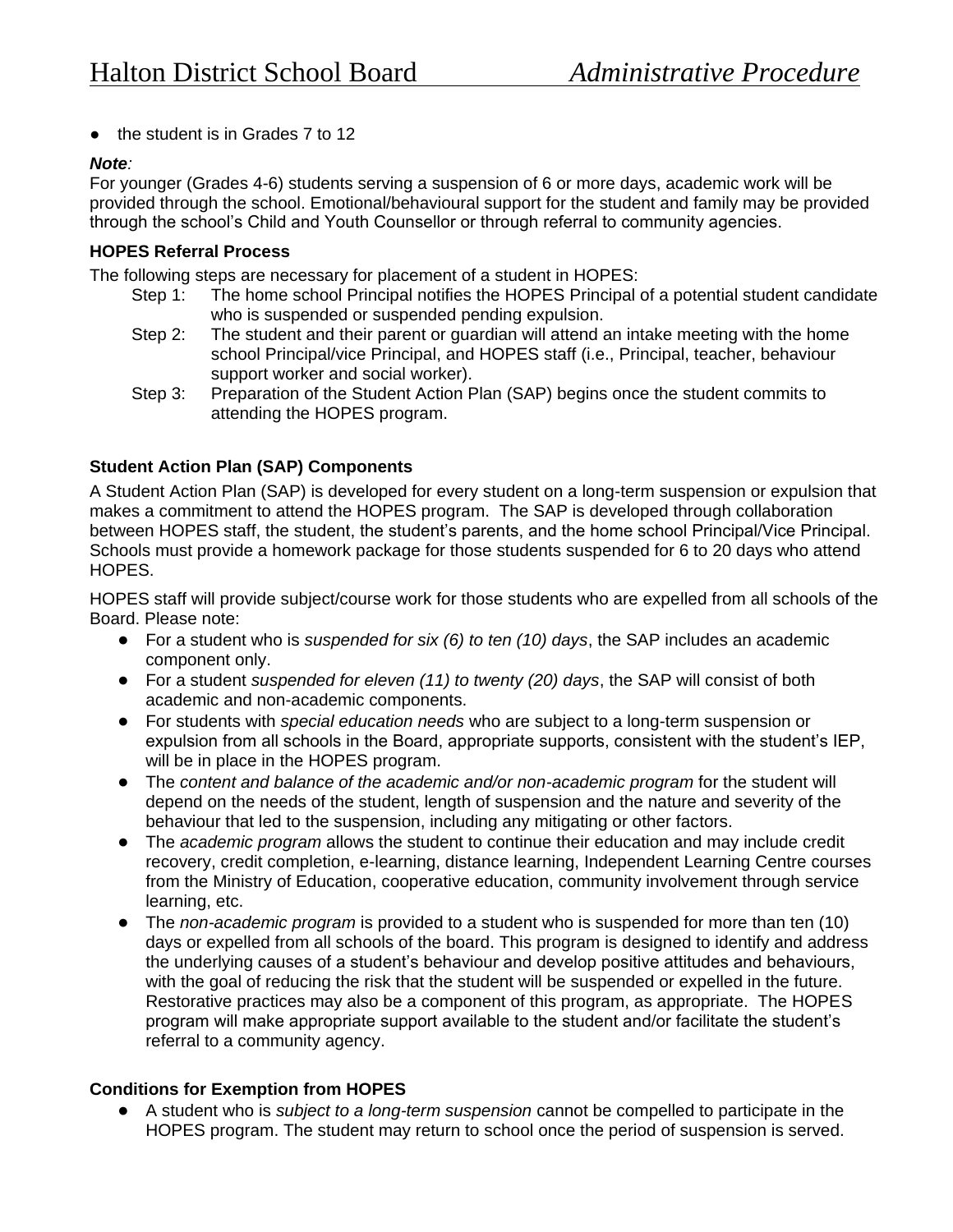● the student is in Grades 7 to 12

### *Note:*

For younger (Grades 4-6) students serving a suspension of 6 or more days, academic work will be provided through the school. Emotional/behavioural support for the student and family may be provided through the school's Child and Youth Counsellor or through referral to community agencies.

## **HOPES Referral Process**

The following steps are necessary for placement of a student in HOPES:

- Step 1: The home school Principal notifies the HOPES Principal of a potential student candidate who is suspended or suspended pending expulsion.
- Step 2: The student and their parent or guardian will attend an intake meeting with the home school Principal/vice Principal, and HOPES staff (i.e., Principal, teacher, behaviour support worker and social worker).
- Step 3: Preparation of the Student Action Plan (SAP) begins once the student commits to attending the HOPES program.

## **Student Action Plan (SAP) Components**

A Student Action Plan (SAP) is developed for every student on a long-term suspension or expulsion that makes a commitment to attend the HOPES program. The SAP is developed through collaboration between HOPES staff, the student, the student's parents, and the home school Principal/Vice Principal. Schools must provide a homework package for those students suspended for 6 to 20 days who attend HOPES.

HOPES staff will provide subject/course work for those students who are expelled from all schools of the Board. Please note:

- For a student who is *suspended for six (6) to ten (10) days*, the SAP includes an academic component only.
- For a student *suspended for eleven (11) to twenty (20) days*, the SAP will consist of both academic and non-academic components.
- For students with *special education needs* who are subject to a long-term suspension or expulsion from all schools in the Board, appropriate supports, consistent with the student's IEP, will be in place in the HOPES program.
- The *content and balance of the academic and/or non-academic program* for the student will depend on the needs of the student, length of suspension and the nature and severity of the behaviour that led to the suspension, including any mitigating or other factors.
- The *academic program* allows the student to continue their education and may include credit recovery, credit completion, e-learning, distance learning, Independent Learning Centre courses from the Ministry of Education, cooperative education, community involvement through service learning, etc.
- The *non-academic program* is provided to a student who is suspended for more than ten (10) days or expelled from all schools of the board. This program is designed to identify and address the underlying causes of a student's behaviour and develop positive attitudes and behaviours, with the goal of reducing the risk that the student will be suspended or expelled in the future. Restorative practices may also be a component of this program, as appropriate. The HOPES program will make appropriate support available to the student and/or facilitate the student's referral to a community agency.

## **Conditions for Exemption from HOPES**

● A student who is *subject to a long-term suspension* cannot be compelled to participate in the HOPES program. The student may return to school once the period of suspension is served.